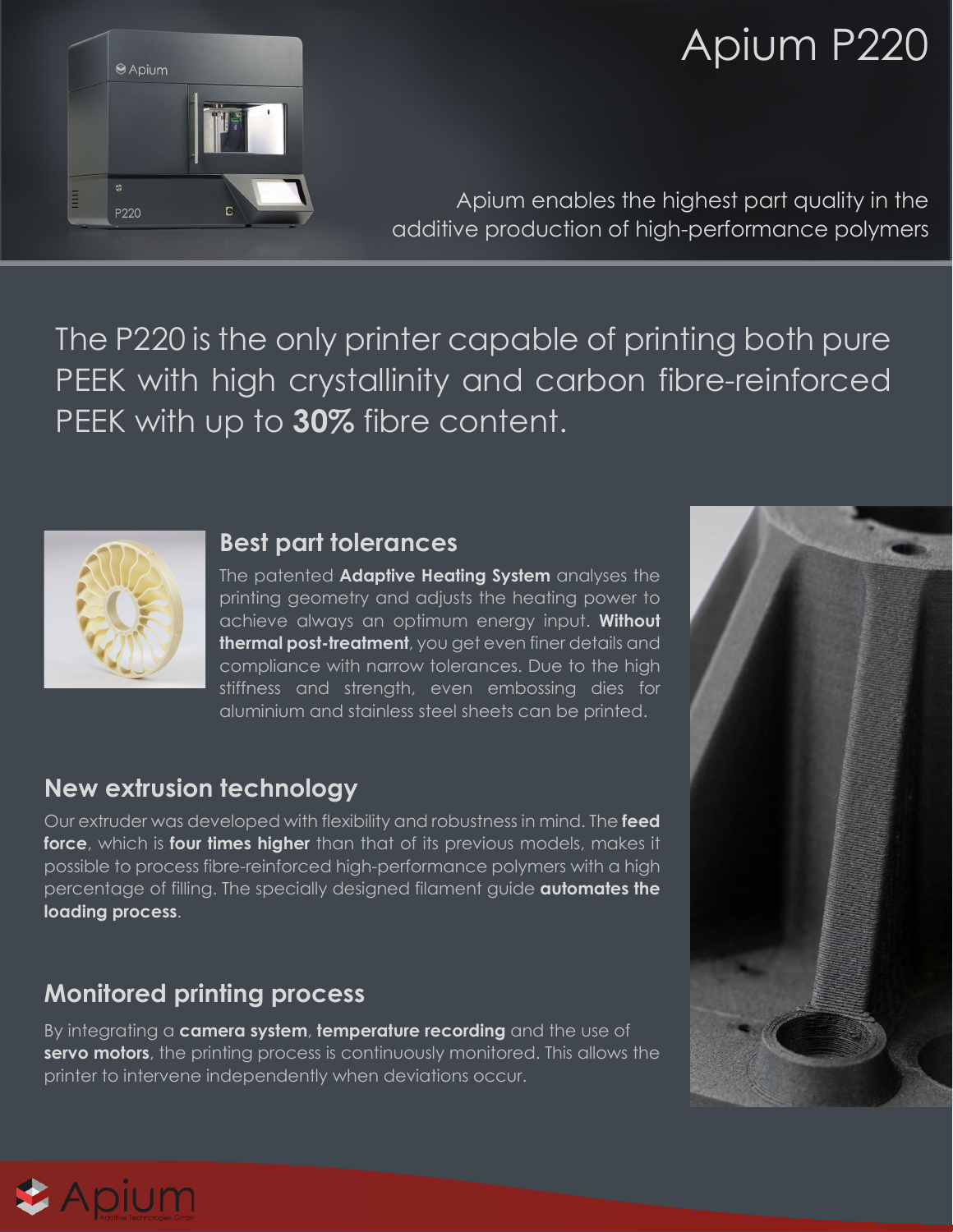

# Apium P220

Apium enables the highest part quality in the additive production of high-performance polymers

The P220 is the only printer capable of printing both pure PEEK with high crystallinity and carbon fibre-reinforced PEEK with up to **30%** fibre content.



#### **Best part tolerances**

The patented **Adaptive Heating System** analyses the printing geometry and adjusts the heating power to achieve always an optimum energy input. **Without thermal post-treatment**, you get even finer details and compliance with narrow tolerances. Due to the high stiffness and strength, even embossing dies for aluminium and stainless steel sheets can be printed.

# **New extrusion technology**

Our extruder was developed with flexibility and robustness in mind. The **feed force**, which is **four times higher** than that of its previous models, makes it possible to process fibre-reinforced high-performance polymers with a high percentage of filling. The specially designed filament guide **automates the loading process**.

# **Monitored printing process**

By integrating a **camera system**, **temperature recording** and the use of **servo motors**, the printing process is continuously monitored. This allows the printer to intervene independently when deviations occur.